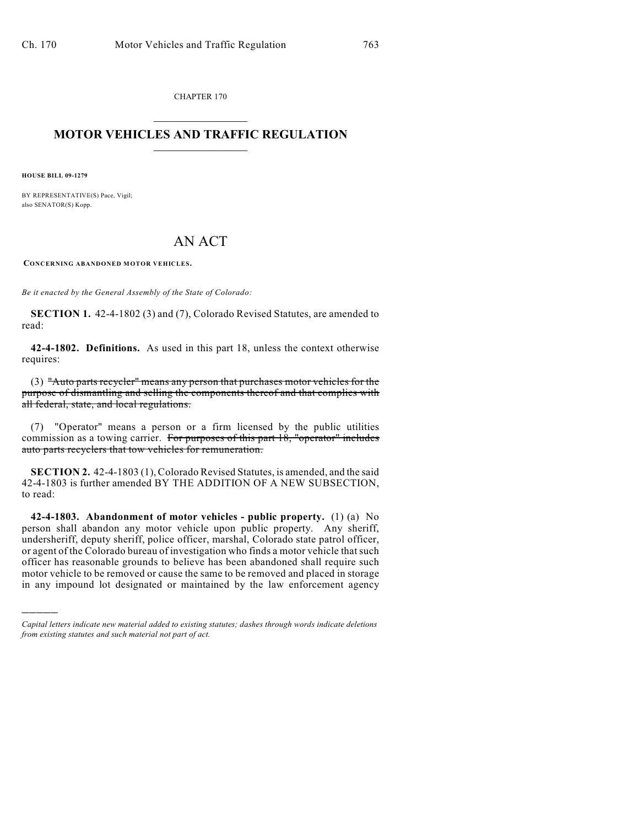CHAPTER 170  $\mathcal{L}_\text{max}$  . The set of the set of the set of the set of the set of the set of the set of the set of the set of the set of the set of the set of the set of the set of the set of the set of the set of the set of the set

## **MOTOR VEHICLES AND TRAFFIC REGULATION**  $\frac{1}{2}$  ,  $\frac{1}{2}$  ,  $\frac{1}{2}$  ,  $\frac{1}{2}$  ,  $\frac{1}{2}$  ,  $\frac{1}{2}$  ,  $\frac{1}{2}$  ,  $\frac{1}{2}$

**HOUSE BILL 09-1279**

)))))

BY REPRESENTATIVE(S) Pace, Vigil; also SENATOR(S) Kopp.

## AN ACT

**CONCERNING ABANDONED MOTOR VEHICLES.**

*Be it enacted by the General Assembly of the State of Colorado:*

**SECTION 1.** 42-4-1802 (3) and (7), Colorado Revised Statutes, are amended to read:

**42-4-1802. Definitions.** As used in this part 18, unless the context otherwise requires:

(3) "Auto parts recycler" means any person that purchases motor vehicles for the purpose of dismantling and selling the components thereof and that complies with all federal, state, and local regulations.

(7) "Operator" means a person or a firm licensed by the public utilities commission as a towing carrier. For purposes of this part 18, "operator" includes auto parts recyclers that tow vehicles for remuneration.

**SECTION 2.** 42-4-1803 (1), Colorado Revised Statutes, is amended, and the said 42-4-1803 is further amended BY THE ADDITION OF A NEW SUBSECTION, to read:

**42-4-1803. Abandonment of motor vehicles - public property.** (1) (a) No person shall abandon any motor vehicle upon public property. Any sheriff, undersheriff, deputy sheriff, police officer, marshal, Colorado state patrol officer, or agent of the Colorado bureau of investigation who finds a motor vehicle that such officer has reasonable grounds to believe has been abandoned shall require such motor vehicle to be removed or cause the same to be removed and placed in storage in any impound lot designated or maintained by the law enforcement agency

*Capital letters indicate new material added to existing statutes; dashes through words indicate deletions from existing statutes and such material not part of act.*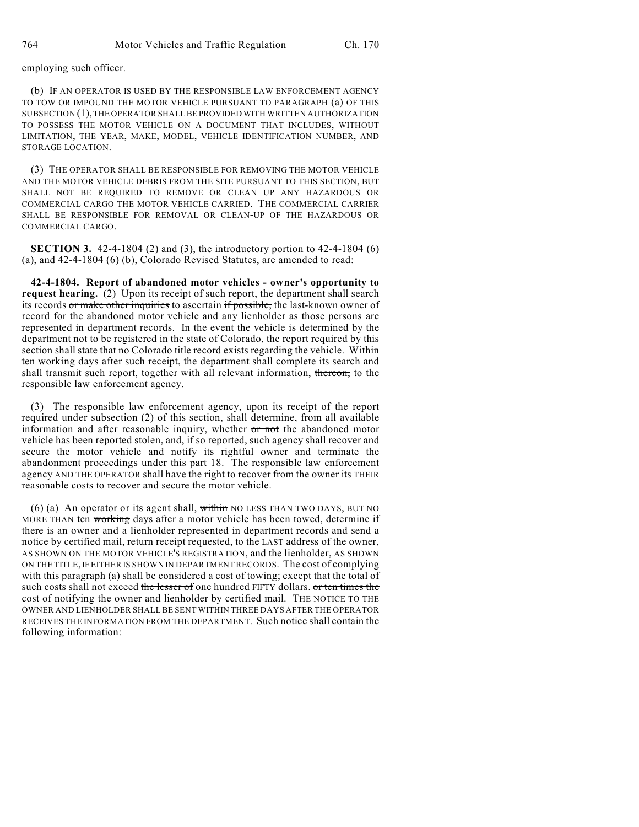employing such officer.

(b) IF AN OPERATOR IS USED BY THE RESPONSIBLE LAW ENFORCEMENT AGENCY TO TOW OR IMPOUND THE MOTOR VEHICLE PURSUANT TO PARAGRAPH (a) OF THIS SUBSECTION (1), THE OPERATOR SHALL BE PROVIDED WITH WRITTEN AUTHORIZATION TO POSSESS THE MOTOR VEHICLE ON A DOCUMENT THAT INCLUDES, WITHOUT LIMITATION, THE YEAR, MAKE, MODEL, VEHICLE IDENTIFICATION NUMBER, AND STORAGE LOCATION.

(3) THE OPERATOR SHALL BE RESPONSIBLE FOR REMOVING THE MOTOR VEHICLE AND THE MOTOR VEHICLE DEBRIS FROM THE SITE PURSUANT TO THIS SECTION, BUT SHALL NOT BE REQUIRED TO REMOVE OR CLEAN UP ANY HAZARDOUS OR COMMERCIAL CARGO THE MOTOR VEHICLE CARRIED. THE COMMERCIAL CARRIER SHALL BE RESPONSIBLE FOR REMOVAL OR CLEAN-UP OF THE HAZARDOUS OR COMMERCIAL CARGO.

**SECTION 3.** 42-4-1804 (2) and (3), the introductory portion to 42-4-1804 (6) (a), and 42-4-1804 (6) (b), Colorado Revised Statutes, are amended to read:

**42-4-1804. Report of abandoned motor vehicles - owner's opportunity to request hearing.** (2) Upon its receipt of such report, the department shall search its records or make other inquiries to ascertain if possible, the last-known owner of record for the abandoned motor vehicle and any lienholder as those persons are represented in department records. In the event the vehicle is determined by the department not to be registered in the state of Colorado, the report required by this section shall state that no Colorado title record exists regarding the vehicle. Within ten working days after such receipt, the department shall complete its search and shall transmit such report, together with all relevant information, thereon, to the responsible law enforcement agency.

(3) The responsible law enforcement agency, upon its receipt of the report required under subsection (2) of this section, shall determine, from all available information and after reasonable inquiry, whether or not the abandoned motor vehicle has been reported stolen, and, if so reported, such agency shall recover and secure the motor vehicle and notify its rightful owner and terminate the abandonment proceedings under this part 18. The responsible law enforcement agency AND THE OPERATOR shall have the right to recover from the owner its THEIR reasonable costs to recover and secure the motor vehicle.

(6) (a) An operator or its agent shall, within NO LESS THAN TWO DAYS, BUT NO MORE THAN ten working days after a motor vehicle has been towed, determine if there is an owner and a lienholder represented in department records and send a notice by certified mail, return receipt requested, to the LAST address of the owner, AS SHOWN ON THE MOTOR VEHICLE'S REGISTRATION, and the lienholder, AS SHOWN ON THE TITLE, IF EITHER IS SHOWN IN DEPARTMENT RECORDS. The cost of complying with this paragraph (a) shall be considered a cost of towing; except that the total of such costs shall not exceed the lesser of one hundred FIFTY dollars. or ten times the cost of notifying the owner and lienholder by certified mail. THE NOTICE TO THE OWNER AND LIENHOLDER SHALL BE SENT WITHIN THREE DAYS AFTER THE OPERATOR RECEIVES THE INFORMATION FROM THE DEPARTMENT. Such notice shall contain the following information: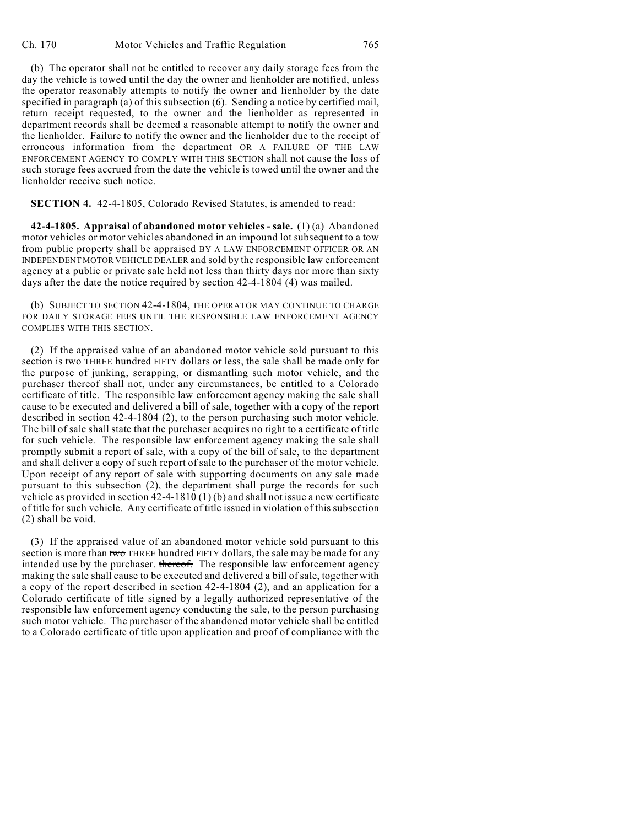(b) The operator shall not be entitled to recover any daily storage fees from the day the vehicle is towed until the day the owner and lienholder are notified, unless the operator reasonably attempts to notify the owner and lienholder by the date specified in paragraph (a) of this subsection (6). Sending a notice by certified mail, return receipt requested, to the owner and the lienholder as represented in department records shall be deemed a reasonable attempt to notify the owner and the lienholder. Failure to notify the owner and the lienholder due to the receipt of erroneous information from the department OR A FAILURE OF THE LAW ENFORCEMENT AGENCY TO COMPLY WITH THIS SECTION shall not cause the loss of such storage fees accrued from the date the vehicle is towed until the owner and the lienholder receive such notice.

**SECTION 4.** 42-4-1805, Colorado Revised Statutes, is amended to read:

**42-4-1805. Appraisal of abandoned motor vehicles - sale.** (1) (a) Abandoned motor vehicles or motor vehicles abandoned in an impound lot subsequent to a tow from public property shall be appraised BY A LAW ENFORCEMENT OFFICER OR AN INDEPENDENT MOTOR VEHICLE DEALER and sold by the responsible law enforcement agency at a public or private sale held not less than thirty days nor more than sixty days after the date the notice required by section 42-4-1804 (4) was mailed.

(b) SUBJECT TO SECTION 42-4-1804, THE OPERATOR MAY CONTINUE TO CHARGE FOR DAILY STORAGE FEES UNTIL THE RESPONSIBLE LAW ENFORCEMENT AGENCY COMPLIES WITH THIS SECTION.

(2) If the appraised value of an abandoned motor vehicle sold pursuant to this section is two THREE hundred FIFTY dollars or less, the sale shall be made only for the purpose of junking, scrapping, or dismantling such motor vehicle, and the purchaser thereof shall not, under any circumstances, be entitled to a Colorado certificate of title. The responsible law enforcement agency making the sale shall cause to be executed and delivered a bill of sale, together with a copy of the report described in section 42-4-1804 (2), to the person purchasing such motor vehicle. The bill of sale shall state that the purchaser acquires no right to a certificate of title for such vehicle. The responsible law enforcement agency making the sale shall promptly submit a report of sale, with a copy of the bill of sale, to the department and shall deliver a copy of such report of sale to the purchaser of the motor vehicle. Upon receipt of any report of sale with supporting documents on any sale made pursuant to this subsection (2), the department shall purge the records for such vehicle as provided in section 42-4-1810 (1) (b) and shall not issue a new certificate of title for such vehicle. Any certificate of title issued in violation of this subsection (2) shall be void.

(3) If the appraised value of an abandoned motor vehicle sold pursuant to this section is more than two THREE hundred FIFTY dollars, the sale may be made for any intended use by the purchaser. thereof. The responsible law enforcement agency making the sale shall cause to be executed and delivered a bill of sale, together with a copy of the report described in section 42-4-1804 (2), and an application for a Colorado certificate of title signed by a legally authorized representative of the responsible law enforcement agency conducting the sale, to the person purchasing such motor vehicle. The purchaser of the abandoned motor vehicle shall be entitled to a Colorado certificate of title upon application and proof of compliance with the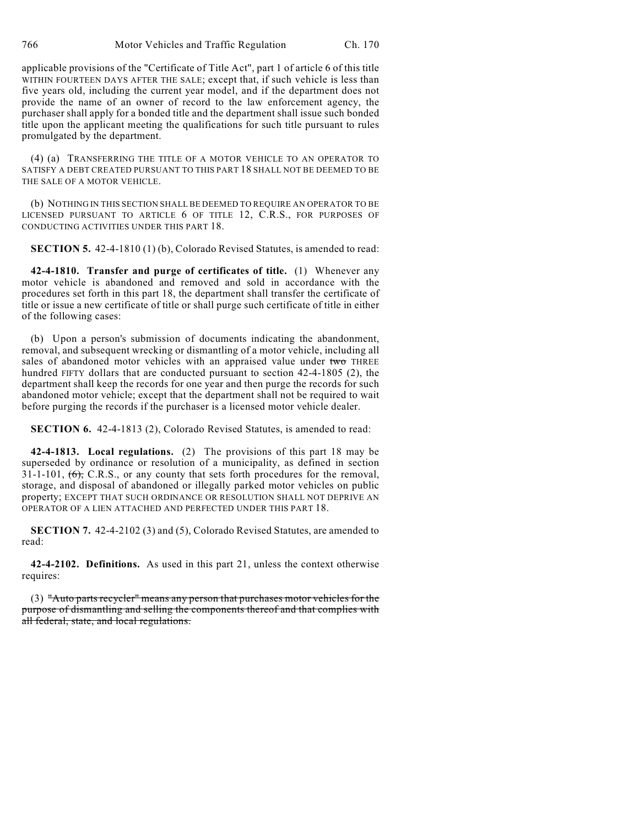applicable provisions of the "Certificate of Title Act", part 1 of article 6 of this title WITHIN FOURTEEN DAYS AFTER THE SALE; except that, if such vehicle is less than five years old, including the current year model, and if the department does not provide the name of an owner of record to the law enforcement agency, the purchaser shall apply for a bonded title and the department shall issue such bonded title upon the applicant meeting the qualifications for such title pursuant to rules promulgated by the department.

(4) (a) TRANSFERRING THE TITLE OF A MOTOR VEHICLE TO AN OPERATOR TO SATISFY A DEBT CREATED PURSUANT TO THIS PART 18 SHALL NOT BE DEEMED TO BE THE SALE OF A MOTOR VEHICLE.

(b) NOTHING IN THIS SECTION SHALL BE DEEMED TO REQUIRE AN OPERATOR TO BE LICENSED PURSUANT TO ARTICLE 6 OF TITLE 12, C.R.S., FOR PURPOSES OF CONDUCTING ACTIVITIES UNDER THIS PART 18.

**SECTION 5.** 42-4-1810 (1) (b), Colorado Revised Statutes, is amended to read:

**42-4-1810. Transfer and purge of certificates of title.** (1) Whenever any motor vehicle is abandoned and removed and sold in accordance with the procedures set forth in this part 18, the department shall transfer the certificate of title or issue a new certificate of title or shall purge such certificate of title in either of the following cases:

(b) Upon a person's submission of documents indicating the abandonment, removal, and subsequent wrecking or dismantling of a motor vehicle, including all sales of abandoned motor vehicles with an appraised value under two THREE hundred FIFTY dollars that are conducted pursuant to section 42-4-1805 (2), the department shall keep the records for one year and then purge the records for such abandoned motor vehicle; except that the department shall not be required to wait before purging the records if the purchaser is a licensed motor vehicle dealer.

**SECTION 6.** 42-4-1813 (2), Colorado Revised Statutes, is amended to read:

**42-4-1813. Local regulations.** (2) The provisions of this part 18 may be superseded by ordinance or resolution of a municipality, as defined in section  $31-1-101$ ,  $(6)$ , C.R.S., or any county that sets forth procedures for the removal, storage, and disposal of abandoned or illegally parked motor vehicles on public property; EXCEPT THAT SUCH ORDINANCE OR RESOLUTION SHALL NOT DEPRIVE AN OPERATOR OF A LIEN ATTACHED AND PERFECTED UNDER THIS PART 18.

**SECTION 7.** 42-4-2102 (3) and (5), Colorado Revised Statutes, are amended to read:

**42-4-2102. Definitions.** As used in this part 21, unless the context otherwise requires:

(3) "Auto parts recycler" means any person that purchases motor vehicles for the purpose of dismantling and selling the components thereof and that complies with all federal, state, and local regulations.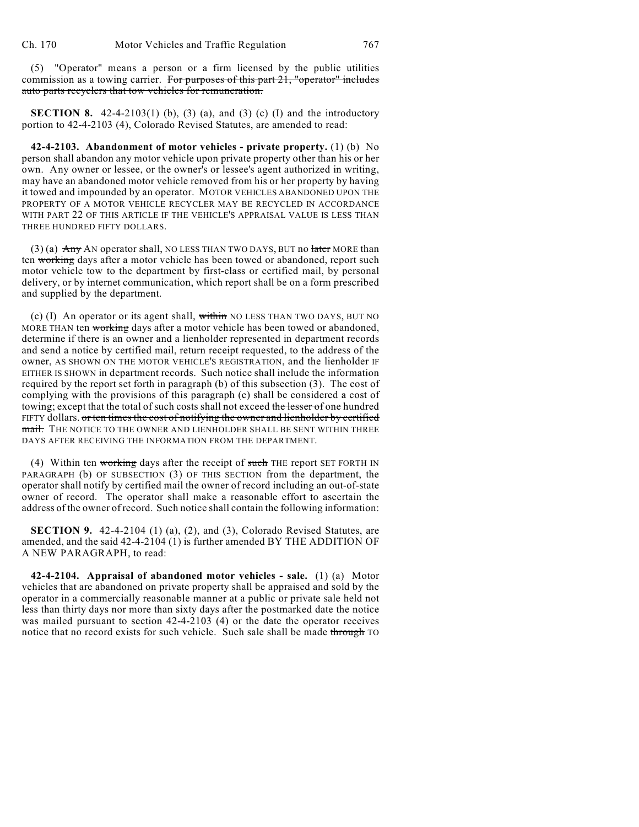(5) "Operator" means a person or a firm licensed by the public utilities commission as a towing carrier. For purposes of this part 21, "operator" includes auto parts recyclers that tow vehicles for remuneration.

**SECTION 8.** 42-4-2103(1) (b), (3) (a), and (3) (c) (I) and the introductory portion to 42-4-2103 (4), Colorado Revised Statutes, are amended to read:

**42-4-2103. Abandonment of motor vehicles - private property.** (1) (b) No person shall abandon any motor vehicle upon private property other than his or her own. Any owner or lessee, or the owner's or lessee's agent authorized in writing, may have an abandoned motor vehicle removed from his or her property by having it towed and impounded by an operator. MOTOR VEHICLES ABANDONED UPON THE PROPERTY OF A MOTOR VEHICLE RECYCLER MAY BE RECYCLED IN ACCORDANCE WITH PART 22 OF THIS ARTICLE IF THE VEHICLE'S APPRAISAL VALUE IS LESS THAN THREE HUNDRED FIFTY DOLLARS.

 $(3)$  (a)  $\overrightarrow{Any}$  AN operator shall, NO LESS THAN TWO DAYS, BUT no later MORE than ten working days after a motor vehicle has been towed or abandoned, report such motor vehicle tow to the department by first-class or certified mail, by personal delivery, or by internet communication, which report shall be on a form prescribed and supplied by the department.

(c) (I) An operator or its agent shall, within NO LESS THAN TWO DAYS, BUT NO MORE THAN ten working days after a motor vehicle has been towed or abandoned, determine if there is an owner and a lienholder represented in department records and send a notice by certified mail, return receipt requested, to the address of the owner, AS SHOWN ON THE MOTOR VEHICLE'S REGISTRATION, and the lienholder IF EITHER IS SHOWN in department records. Such notice shall include the information required by the report set forth in paragraph (b) of this subsection (3). The cost of complying with the provisions of this paragraph (c) shall be considered a cost of towing; except that the total of such costs shall not exceed the lesser of one hundred FIFTY dollars. or ten times the cost of notifying the owner and lienholder by certified mail. THE NOTICE TO THE OWNER AND LIENHOLDER SHALL BE SENT WITHIN THREE DAYS AFTER RECEIVING THE INFORMATION FROM THE DEPARTMENT.

(4) Within ten working days after the receipt of such THE report SET FORTH IN PARAGRAPH (b) OF SUBSECTION (3) OF THIS SECTION from the department, the operator shall notify by certified mail the owner of record including an out-of-state owner of record. The operator shall make a reasonable effort to ascertain the address of the owner of record. Such notice shall contain the following information:

**SECTION 9.** 42-4-2104 (1) (a), (2), and (3), Colorado Revised Statutes, are amended, and the said 42-4-2104 (1) is further amended BY THE ADDITION OF A NEW PARAGRAPH, to read:

**42-4-2104. Appraisal of abandoned motor vehicles - sale.** (1) (a) Motor vehicles that are abandoned on private property shall be appraised and sold by the operator in a commercially reasonable manner at a public or private sale held not less than thirty days nor more than sixty days after the postmarked date the notice was mailed pursuant to section 42-4-2103 (4) or the date the operator receives notice that no record exists for such vehicle. Such sale shall be made through TO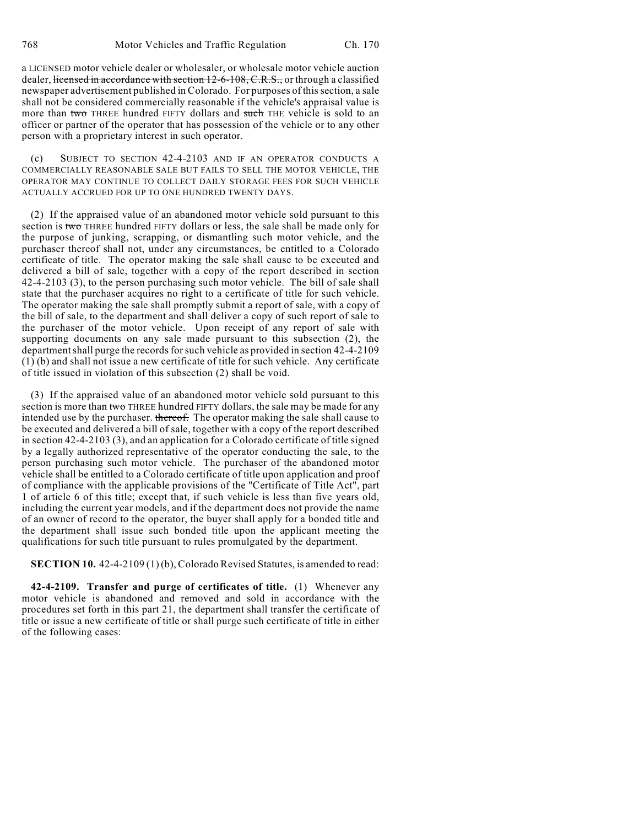a LICENSED motor vehicle dealer or wholesaler, or wholesale motor vehicle auction dealer, licensed in accordance with section 12-6-108, C.R.S., or through a classified newspaper advertisement published in Colorado. For purposes of this section, a sale shall not be considered commercially reasonable if the vehicle's appraisal value is more than two THREE hundred FIFTY dollars and such THE vehicle is sold to an officer or partner of the operator that has possession of the vehicle or to any other person with a proprietary interest in such operator.

(c) SUBJECT TO SECTION 42-4-2103 AND IF AN OPERATOR CONDUCTS A COMMERCIALLY REASONABLE SALE BUT FAILS TO SELL THE MOTOR VEHICLE, THE OPERATOR MAY CONTINUE TO COLLECT DAILY STORAGE FEES FOR SUCH VEHICLE ACTUALLY ACCRUED FOR UP TO ONE HUNDRED TWENTY DAYS.

(2) If the appraised value of an abandoned motor vehicle sold pursuant to this section is two THREE hundred FIFTY dollars or less, the sale shall be made only for the purpose of junking, scrapping, or dismantling such motor vehicle, and the purchaser thereof shall not, under any circumstances, be entitled to a Colorado certificate of title. The operator making the sale shall cause to be executed and delivered a bill of sale, together with a copy of the report described in section 42-4-2103 (3), to the person purchasing such motor vehicle. The bill of sale shall state that the purchaser acquires no right to a certificate of title for such vehicle. The operator making the sale shall promptly submit a report of sale, with a copy of the bill of sale, to the department and shall deliver a copy of such report of sale to the purchaser of the motor vehicle. Upon receipt of any report of sale with supporting documents on any sale made pursuant to this subsection (2), the department shall purge the records for such vehicle as provided in section 42-4-2109  $(1)$  (b) and shall not issue a new certificate of title for such vehicle. Any certificate of title issued in violation of this subsection (2) shall be void.

(3) If the appraised value of an abandoned motor vehicle sold pursuant to this section is more than two THREE hundred FIFTY dollars, the sale may be made for any intended use by the purchaser. thereof. The operator making the sale shall cause to be executed and delivered a bill of sale, together with a copy of the report described in section 42-4-2103 (3), and an application for a Colorado certificate of title signed by a legally authorized representative of the operator conducting the sale, to the person purchasing such motor vehicle. The purchaser of the abandoned motor vehicle shall be entitled to a Colorado certificate of title upon application and proof of compliance with the applicable provisions of the "Certificate of Title Act", part 1 of article 6 of this title; except that, if such vehicle is less than five years old, including the current year models, and if the department does not provide the name of an owner of record to the operator, the buyer shall apply for a bonded title and the department shall issue such bonded title upon the applicant meeting the qualifications for such title pursuant to rules promulgated by the department.

**SECTION 10.** 42-4-2109 (1) (b), Colorado Revised Statutes, is amended to read:

**42-4-2109. Transfer and purge of certificates of title.** (1) Whenever any motor vehicle is abandoned and removed and sold in accordance with the procedures set forth in this part 21, the department shall transfer the certificate of title or issue a new certificate of title or shall purge such certificate of title in either of the following cases: